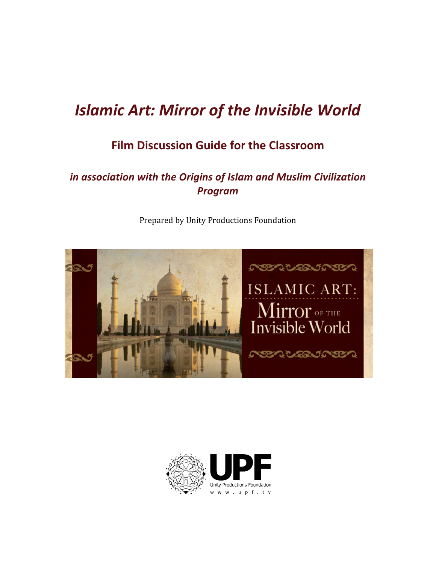# **Islamic Art: Mirror of the Invisible World**

# **Film Discussion Guide for the Classroom**

# in association with the Origins of Islam and Muslim Civilization *Program!*



Prepared by Unity Productions Foundation

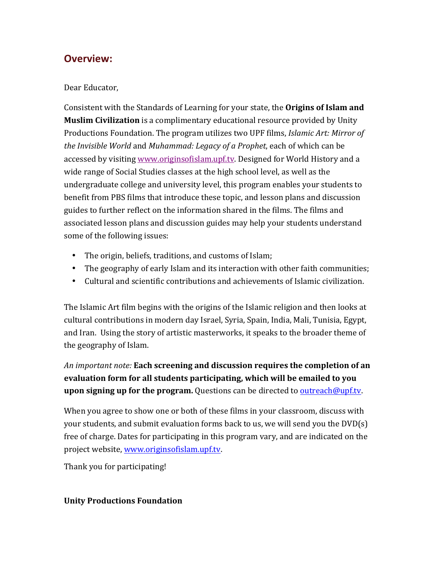# **Overview:**

### Dear Educator.

Consistent with the Standards of Learning for your state, the **Origins of Islam and Muslim Civilization** is a complimentary educational resource provided by Unity Productions Foundation. The program utilizes two UPF films, *Islamic Art: Mirror of the Invisible World and Muhammad: Legacy of a Prophet, each of which can be* accessed by visiting www.originsofislam.upf.tv. Designed for World History and a wide range of Social Studies classes at the high school level, as well as the undergraduate college and university level, this program enables your students to benefit from PBS films that introduce these topic, and lesson plans and discussion guides to further reflect on the information shared in the films. The films and associated lesson plans and discussion guides may help your students understand some of the following issues:

- The origin, beliefs, traditions, and customs of Islam;
- The geography of early Islam and its interaction with other faith communities;
- Cultural and scientific contributions and achievements of Islamic civilization.

The Islamic Art film begins with the origins of the Islamic religion and then looks at cultural contributions in modern day Israel, Syria, Spain, India, Mali, Tunisia, Egypt, and Iran. Using the story of artistic masterworks, it speaks to the broader theme of the geography of Islam.

An *important note:* **Each screening and discussion requires the completion of an evaluation'form for'all'students'participating,'which'will'be'emailed'to'you' upon signing up for the program.** Questions can be directed to <u>outreach@upf.tv</u>.

When you agree to show one or both of these films in your classroom, discuss with your students, and submit evaluation forms back to us, we will send you the  $DVD(s)$ free of charge. Dates for participating in this program vary, and are indicated on the project website, www.originsofislam.upf.tv.

Thank you for participating!

### **Unity'Productions'Foundation'**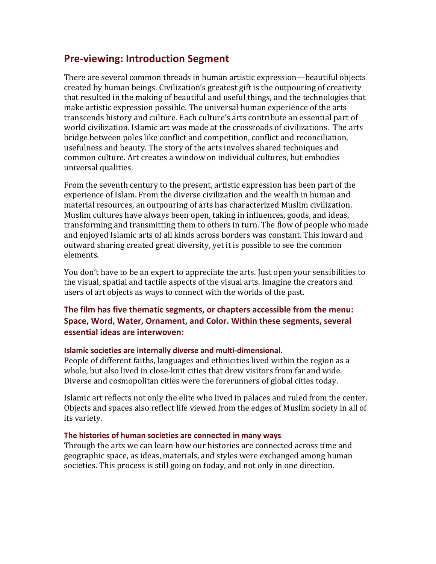# **Pre-viewing: Introduction Segment**

There are several common threads in human artistic expression—beautiful objects created by human beings. Civilization's greatest gift is the outpouring of creativity that resulted in the making of beautiful and useful things, and the technologies that make artistic expression possible. The universal human experience of the arts transcends history and culture. Each culture's arts contribute an essential part of world civilization. Islamic art was made at the crossroads of civilizations. The arts bridge between poles like conflict and competition, conflict and reconciliation, usefulness and beauty. The story of the arts involves shared techniques and common culture. Art creates a window on individual cultures, but embodies universal qualities.

From the seventh century to the present, artistic expression has been part of the experience of Islam. From the diverse civilization and the wealth in human and material resources, an outpouring of arts has characterized Muslim civilization. Muslim cultures have always been open, taking in influences, goods, and ideas, transforming and transmitting them to others in turn. The flow of people who made and enjoyed Islamic arts of all kinds across borders was constant. This inward and outward sharing created great diversity, yet it is possible to see the common elements.

You don't have to be an expert to appreciate the arts. Just open your sensibilities to the visual, spatial and tactile aspects of the visual arts. Imagine the creators and users of art objects as ways to connect with the worlds of the past.

### **The film has five thematic segments, or chapters accessible from the menu:** Space, Word, Water, Ornament, and Color. Within these segments, several **essential ideas are interwoven:**

#### **Islamic societies are internally diverse and multi-dimensional.**

People of different faiths, languages and ethnicities lived within the region as a whole, but also lived in close-knit cities that drew visitors from far and wide. Diverse and cosmopolitan cities were the forerunners of global cities today.

Islamic art reflects not only the elite who lived in palaces and ruled from the center. Objects and spaces also reflect life viewed from the edges of Muslim society in all of its variety.

#### The histories of human societies are connected in many ways

Through the arts we can learn how our histories are connected across time and geographic space, as ideas, materials, and styles were exchanged among human societies. This process is still going on today, and not only in one direction.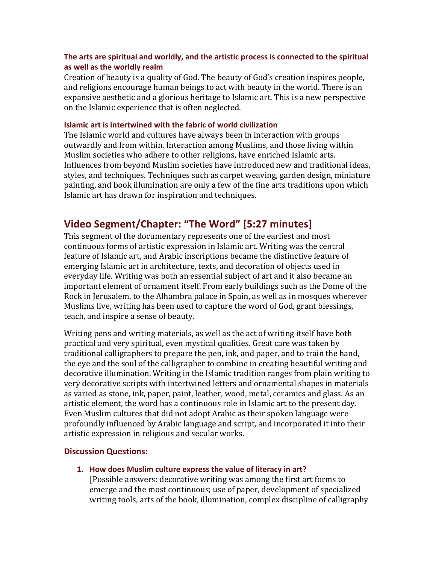#### The arts are spiritual and worldly, and the artistic process is connected to the spiritual as well as the worldly realm

Creation of beauty is a quality of God. The beauty of God's creation inspires people, and religions encourage human beings to act with beauty in the world. There is an expansive aesthetic and a glorious heritage to Islamic art. This is a new perspective on the Islamic experience that is often neglected.

#### **Islamic art is intertwined with the fabric of world civilization**

The Islamic world and cultures have always been in interaction with groups. outwardly and from within. Interaction among Muslims, and those living within Muslim societies who adhere to other religions, have enriched Islamic arts. Influences from beyond Muslim societies have introduced new and traditional ideas, styles, and techniques. Techniques such as carpet weaving, garden design, miniature painting, and book illumination are only a few of the fine arts traditions upon which Islamic art has drawn for inspiration and techniques.

# **Video Segment/Chapter: "The Word" [5:27 minutes]**

This segment of the documentary represents one of the earliest and most continuous forms of artistic expression in Islamic art. Writing was the central feature of Islamic art, and Arabic inscriptions became the distinctive feature of emerging Islamic art in architecture, texts, and decoration of objects used in everyday life. Writing was both an essential subject of art and it also became an important element of ornament itself. From early buildings such as the Dome of the Rock in Jerusalem, to the Alhambra palace in Spain, as well as in mosques wherever Muslims live, writing has been used to capture the word of God, grant blessings, teach, and inspire a sense of beauty.

Writing pens and writing materials, as well as the act of writing itself have both practical and very spiritual, even mystical qualities. Great care was taken by traditional calligraphers to prepare the pen, ink, and paper, and to train the hand, the eye and the soul of the calligrapher to combine in creating beautiful writing and decorative illumination. Writing in the Islamic tradition ranges from plain writing to very decorative scripts with intertwined letters and ornamental shapes in materials as varied as stone, ink, paper, paint, leather, wood, metal, ceramics and glass. As an artistic element, the word has a continuous role in Islamic art to the present day. Even Muslim cultures that did not adopt Arabic as their spoken language were profoundly influenced by Arabic language and script, and incorporated it into their artistic expression in religious and secular works.

#### **Discussion Questions:**

1. How does Muslim culture express the value of literacy in art?

[Possible answers: decorative writing was among the first art forms to emerge and the most continuous; use of paper, development of specialized writing tools, arts of the book, illumination, complex discipline of calligraphy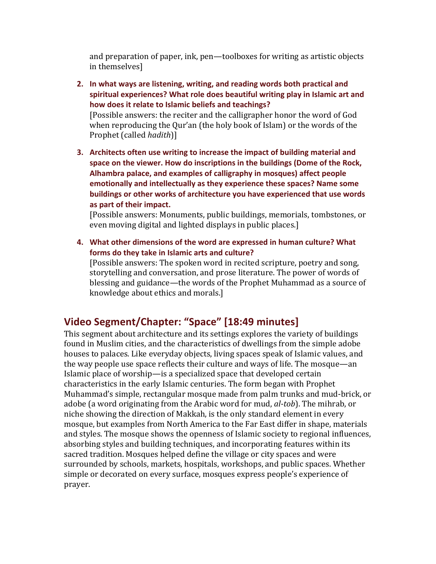and preparation of paper, ink, pen—toolboxes for writing as artistic objects in themselves]

- **2.** In what ways are listening, writing, and reading words both practical and spiritual experiences? What role does beautiful writing play in Islamic art and how does it relate to Islamic beliefs and teachings? [Possible answers: the reciter and the calligrapher honor the word of God when reproducing the Qur'an (the holy book of Islam) or the words of the Prophet (called *hadith*)]
- **3. Architects often use writing to increase the impact of building material and** space on the viewer. How do inscriptions in the buildings (Dome of the Rock, Alhambra palace, and examples of calligraphy in mosques) affect people emotionally and intellectually as they experience these spaces? Name some buildings or other works of architecture you have experienced that use words as part of their impact.

[Possible answers: Monuments, public buildings, memorials, tombstones, or even moving digital and lighted displays in public places.]

**4.** What other dimensions of the word are expressed in human culture? What forms do they take in Islamic arts and culture? [Possible answers: The spoken word in recited scripture, poetry and song, storytelling and conversation, and prose literature. The power of words of blessing and guidance—the words of the Prophet Muhammad as a source of knowledge about ethics and morals.]

# **Video Segment/Chapter: "Space" [18:49 minutes]**

This segment about architecture and its settings explores the variety of buildings found in Muslim cities, and the characteristics of dwellings from the simple adobe houses to palaces. Like everyday objects, living spaces speak of Islamic values, and the way people use space reflects their culture and ways of life. The mosque—an Islamic place of worship—is a specialized space that developed certain characteristics in the early Islamic centuries. The form began with Prophet Muhammad's simple, rectangular mosque made from palm trunks and mud-brick, or adobe (a word originating from the Arabic word for mud, *al-tob*). The mihrab, or niche showing the direction of Makkah, is the only standard element in every mosque, but examples from North America to the Far East differ in shape, materials and styles. The mosque shows the openness of Islamic society to regional influences, absorbing styles and building techniques, and incorporating features within its sacred tradition. Mosques helped define the village or city spaces and were surrounded by schools, markets, hospitals, workshops, and public spaces. Whether simple or decorated on every surface, mosques express people's experience of prayer.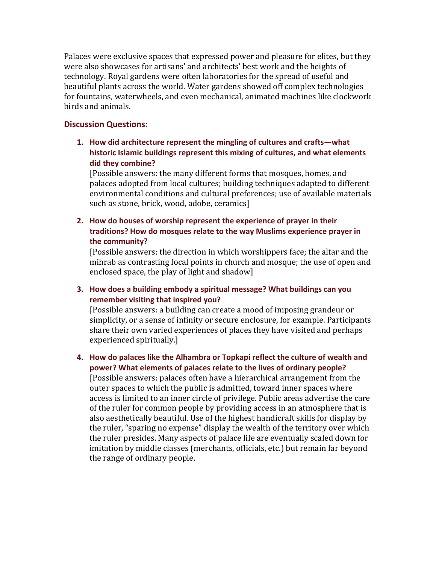Palaces were exclusive spaces that expressed power and pleasure for elites, but they were also showcases for artisans' and architects' best work and the heights of technology. Royal gardens were often laboratories for the spread of useful and beautiful plants across the world. Water gardens showed off complex technologies for fountains, waterwheels, and even mechanical, animated machines like clockwork birds and animals.

#### **Discussion Questions:**

**1.** How did architecture represent the mingling of cultures and crafts—what historic Islamic buildings represent this mixing of cultures, and what elements **did!they!combine?**

[Possible answers: the many different forms that mosques, homes, and palaces adopted from local cultures; building techniques adapted to different environmental conditions and cultural preferences; use of available materials such as stone, brick, wood, adobe, ceramics]

**2.** How do houses of worship represent the experience of prayer in their traditions? How do mosques relate to the way Muslims experience prayer in **the!community?**

[Possible answers: the direction in which worshippers face; the altar and the mihrab as contrasting focal points in church and mosque; the use of open and enclosed space, the play of light and shadow]

**3.** How does a building embody a spiritual message? What buildings can you **remember visiting that inspired you?** 

[Possible answers: a building can create a mood of imposing grandeur or simplicity, or a sense of infinity or secure enclosure, for example. Participants share their own varied experiences of places they have visited and perhaps experienced spiritually.]

**4.** How do palaces like the Alhambra or Topkapi reflect the culture of wealth and power? What elements of palaces relate to the lives of ordinary people?

[Possible answers: palaces often have a hierarchical arrangement from the outer spaces to which the public is admitted, toward inner spaces where access is limited to an inner circle of privilege. Public areas advertise the care of the ruler for common people by providing access in an atmosphere that is also aesthetically beautiful. Use of the highest handicraft skills for display by the ruler, "sparing no expense" display the wealth of the territory over which the ruler presides. Many aspects of palace life are eventually scaled down for imitation by middle classes (merchants, officials, etc.) but remain far beyond the range of ordinary people.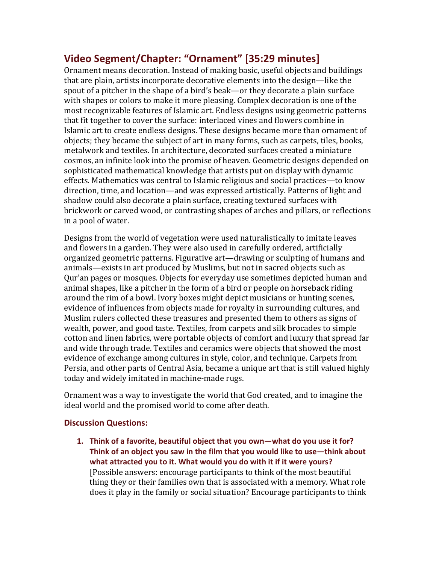# **Video Segment/Chapter: "Ornament" [35:29 minutes]**

Ornament means decoration. Instead of making basic, useful objects and buildings that are plain, artists incorporate decorative elements into the design—like the spout of a pitcher in the shape of a bird's beak—or they decorate a plain surface with shapes or colors to make it more pleasing. Complex decoration is one of the most recognizable features of Islamic art. Endless designs using geometric patterns that fit together to cover the surface: interlaced vines and flowers combine in Islamic art to create endless designs. These designs became more than ornament of objects; they became the subject of art in many forms, such as carpets, tiles, books, metalwork and textiles. In architecture, decorated surfaces created a miniature cosmos, an infinite look into the promise of heaven. Geometric designs depended on sophisticated mathematical knowledge that artists put on display with dynamic effects. Mathematics was central to Islamic religious and social practices—to know direction, time, and location—and was expressed artistically. Patterns of light and shadow could also decorate a plain surface, creating textured surfaces with brickwork or carved wood, or contrasting shapes of arches and pillars, or reflections in a pool of water.

Designs from the world of vegetation were used naturalistically to imitate leaves and flowers in a garden. They were also used in carefully ordered, artificially organized geometric patterns. Figurative art—drawing or sculpting of humans and animals—exists in art produced by Muslims, but not in sacred objects such as Qur'an pages or mosques. Objects for everyday use sometimes depicted human and animal shapes, like a pitcher in the form of a bird or people on horseback riding around the rim of a bowl. Ivory boxes might depict musicians or hunting scenes, evidence of influences from objects made for royalty in surrounding cultures, and Muslim rulers collected these treasures and presented them to others as signs of wealth, power, and good taste. Textiles, from carpets and silk brocades to simple cotton and linen fabrics, were portable objects of comfort and luxury that spread far and wide through trade. Textiles and ceramics were objects that showed the most evidence of exchange among cultures in style, color, and technique. Carpets from Persia, and other parts of Central Asia, became a unique art that is still valued highly today and widely imitated in machine-made rugs.

Ornament was a way to investigate the world that God created, and to imagine the ideal world and the promised world to come after death.

### **Discussion!Questions:**

**1.** Think of a favorite, beautiful object that you own—what do you use it for? Think of an object you saw in the film that you would like to use—think about what attracted you to it. What would you do with it if it were yours? [Possible answers: encourage participants to think of the most beautiful thing they or their families own that is associated with a memory. What role does it play in the family or social situation? Encourage participants to think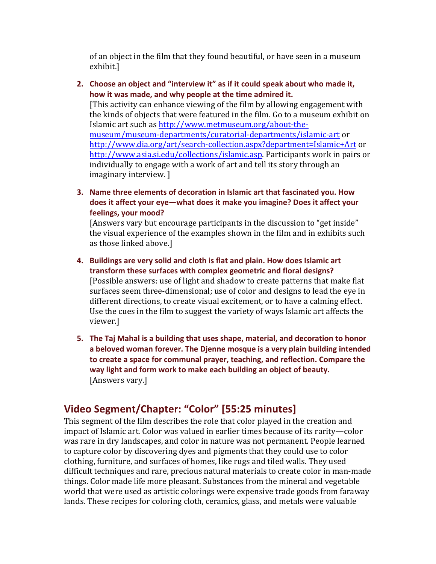of an object in the film that they found beautiful, or have seen in a museum exhibit.]

**2.** Choose an object and "interview it" as if it could speak about who made it, how it was made, and why people at the time admired it.

[This activity can enhance viewing of the film by allowing engagement with the kinds of objects that were featured in the film. Go to a museum exhibit on Islamic art such as http://www.metmuseum.org/about-themuseum/museum-departments/curatorial-departments/islamic-art or http://www.dia.org/art/search-collection.aspx?department=Islamic+Art or http://www.asia.si.edu/collections/islamic.asp. Participants work in pairs or individually to engage with a work of art and tell its story through an imaginary interview. ]

**3.** Name three elements of decoration in Islamic art that fascinated you. How does it affect your eye—what does it make you imagine? Does it affect your feelings, your mood?

[Answers vary but encourage participants in the discussion to "get inside" the visual experience of the examples shown in the film and in exhibits such as those linked above.]

- **4.** Buildings are very solid and cloth is flat and plain. How does Islamic art **transform these surfaces with complex geometric and floral designs?** [Possible answers: use of light and shadow to create patterns that make flat surfaces seem three-dimensional; use of color and designs to lead the eye in different directions, to create visual excitement, or to have a calming effect. Use the cues in the film to suggest the variety of ways Islamic art affects the viewer.]
- **5.** The Taj Mahal is a building that uses shape, material, and decoration to honor a beloved woman forever. The Djenne mosque is a very plain building intended to create a space for communal prayer, teaching, and reflection. Compare the way light and form work to make each building an object of beauty. [Answers vary.]

# **Video Segment/Chapter: "Color" [55:25 minutes]**

This segment of the film describes the role that color played in the creation and impact of Islamic art. Color was valued in earlier times because of its rarity—color was rare in dry landscapes, and color in nature was not permanent. People learned to capture color by discovering dyes and pigments that they could use to color clothing, furniture, and surfaces of homes, like rugs and tiled walls. They used difficult techniques and rare, precious natural materials to create color in man-made things. Color made life more pleasant. Substances from the mineral and vegetable world that were used as artistic colorings were expensive trade goods from faraway lands. These recipes for coloring cloth, ceramics, glass, and metals were valuable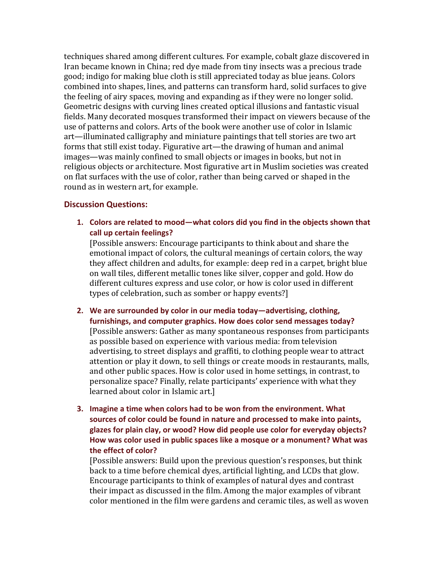techniques shared among different cultures. For example, cobalt glaze discovered in Iran became known in China; red dye made from tiny insects was a precious trade good; indigo for making blue cloth is still appreciated today as blue jeans. Colors combined into shapes, lines, and patterns can transform hard, solid surfaces to give the feeling of airy spaces, moving and expanding as if they were no longer solid. Geometric designs with curving lines created optical illusions and fantastic visual fields. Many decorated mosques transformed their impact on viewers because of the use of patterns and colors. Arts of the book were another use of color in Islamic art—illuminated calligraphy and miniature paintings that tell stories are two art forms that still exist today. Figurative art—the drawing of human and animal images—was mainly confined to small objects or images in books, but not in religious objects or architecture. Most figurative art in Muslim societies was created on flat surfaces with the use of color, rather than being carved or shaped in the round as in western art, for example.

#### **Discussion Questions:**

1. Colors are related to mood—what colors did you find in the objects shown that call up certain feelings?

[Possible answers: Encourage participants to think about and share the emotional impact of colors, the cultural meanings of certain colors, the way they affect children and adults, for example: deep red in a carpet, bright blue on wall tiles, different metallic tones like silver, copper and gold. How do different cultures express and use color, or how is color used in different types of celebration, such as somber or happy events?]

- **2.** We are surrounded by color in our media today—advertising, clothing, furnishings, and computer graphics. How does color send messages today? [Possible answers: Gather as many spontaneous responses from participants as possible based on experience with various media: from television advertising, to street displays and graffiti, to clothing people wear to attract attention or play it down, to sell things or create moods in restaurants, malls, and other public spaces. How is color used in home settings, in contrast, to personalize space? Finally, relate participants' experience with what they learned about color in Islamic art.]
- **3.** Imagine a time when colors had to be won from the environment. What sources of color could be found in nature and processed to make into paints, glazes for plain clay, or wood? How did people use color for everyday objects? How was color used in public spaces like a mosque or a monument? What was **the!effect of!color?**

[Possible answers: Build upon the previous question's responses, but think back to a time before chemical dyes, artificial lighting, and LCDs that glow. Encourage participants to think of examples of natural dyes and contrast their impact as discussed in the film. Among the major examples of vibrant color mentioned in the film were gardens and ceramic tiles, as well as woven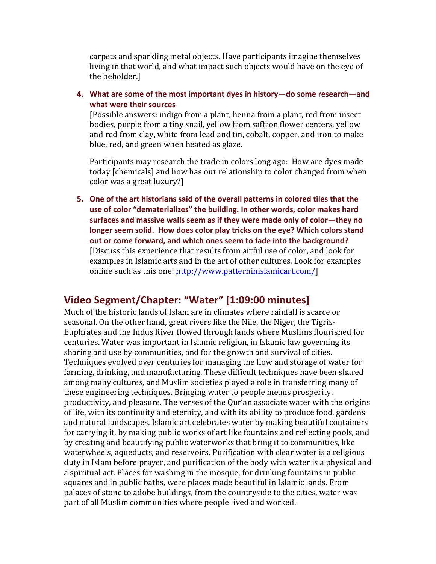carpets and sparkling metal objects. Have participants imagine themselves living in that world, and what impact such objects would have on the eye of the beholder.]

4. What are some of the most important dyes in history—do some research—and what were their sources

[Possible answers: indigo from a plant, henna from a plant, red from insect bodies, purple from a tiny snail, yellow from saffron flower centers, yellow and red from clay, white from lead and tin, cobalt, copper, and iron to make blue, red, and green when heated as glaze.

Participants may research the trade in colors long ago: How are dyes made today [chemicals] and how has our relationship to color changed from when color was a great luxury?]

**5.** One of the art historians said of the overall patterns in colored tiles that the use of color "dematerializes" the building. In other words, color makes hard surfaces and massive walls seem as if they were made only of color—they no longer seem solid. How does color play tricks on the eye? Which colors stand out or come forward, and which ones seem to fade into the background? [Discuss this experience that results from artful use of color, and look for examples in Islamic arts and in the art of other cultures. Look for examples online such as this one: http://www.patterninislamicart.com/]

# Video Segment/Chapter: "Water" [1:09:00 minutes]

Much of the historic lands of Islam are in climates where rainfall is scarce or seasonal. On the other hand, great rivers like the Nile, the Niger, the Tigris-Euphrates and the Indus River flowed through lands where Muslims flourished for centuries. Water was important in Islamic religion, in Islamic law governing its sharing and use by communities, and for the growth and survival of cities. Techniques evolved over centuries for managing the flow and storage of water for farming, drinking, and manufacturing. These difficult techniques have been shared among many cultures, and Muslim societies played a role in transferring many of these engineering techniques. Bringing water to people means prosperity, productivity, and pleasure. The verses of the Qur'an associate water with the origins of life, with its continuity and eternity, and with its ability to produce food, gardens and natural landscapes. Islamic art celebrates water by making beautiful containers for carrying it, by making public works of art like fountains and reflecting pools, and by creating and beautifying public waterworks that bring it to communities, like waterwheels, aqueducts, and reservoirs. Purification with clear water is a religious duty in Islam before prayer, and purification of the body with water is a physical and a spiritual act. Places for washing in the mosque, for drinking fountains in public squares and in public baths, were places made beautiful in Islamic lands. From palaces of stone to adobe buildings, from the countryside to the cities, water was part of all Muslim communities where people lived and worked.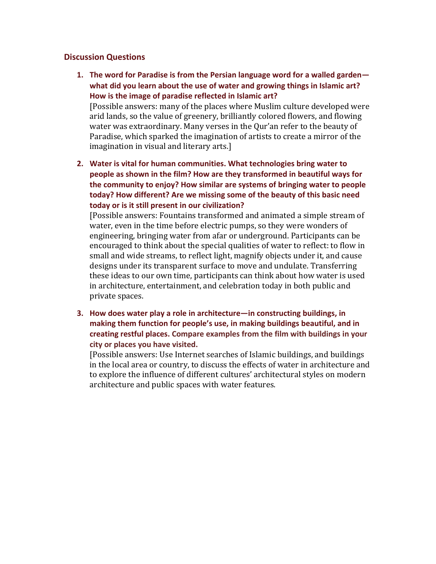#### **Discussion!Questions**

**1.** The word for Paradise is from the Persian language word for a walled garden what did you learn about the use of water and growing things in Islamic art? How is the image of paradise reflected in Islamic art?

[Possible answers: many of the places where Muslim culture developed were arid lands, so the value of greenery, brilliantly colored flowers, and flowing water was extraordinary. Many verses in the Qur'an refer to the beauty of Paradise, which sparked the imagination of artists to create a mirror of the imagination in visual and literary arts.]

**2.** Water is vital for human communities. What technologies bring water to people as shown in the film? How are they transformed in beautiful ways for the community to enjoy? How similar are systems of bringing water to people today? How different? Are we missing some of the beauty of this basic need **today** or is it still present in our civilization?

[Possible answers: Fountains transformed and animated a simple stream of water, even in the time before electric pumps, so they were wonders of engineering, bringing water from afar or underground. Participants can be encouraged to think about the special qualities of water to reflect: to flow in small and wide streams, to reflect light, magnify objects under it, and cause designs under its transparent surface to move and undulate. Transferring these ideas to our own time, participants can think about how water is used in architecture, entertainment, and celebration today in both public and private spaces.

**3.** How does water play a role in architecture—in constructing buildings, in making them function for people's use, in making buildings beautiful, and in creating restful places. Compare examples from the film with buildings in your city or places you have visited.

[Possible answers: Use Internet searches of Islamic buildings, and buildings in the local area or country, to discuss the effects of water in architecture and to explore the influence of different cultures' architectural styles on modern architecture and public spaces with water features.